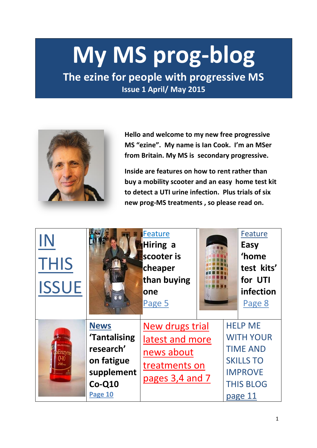# **My MS prog-blog**

**The ezine for people with progressive MS Issue 1 April/ May 2015** 



**Hello and welcome to my new free progressive MS "ezine". My name is Ian Cook. I'm an MSer from Britain. My MS is secondary progressive.**

**Inside are features on how to rent rather than buy a mobility scooter and an easy home test kit to detect a UTI urine infection. Plus trials of six new prog-MS treatments , so please read on.**

| <b>THIS</b><br><b>ISSUE</b> |                                                                                             | <b>Feature</b><br>Hiring a<br>scooter is<br>cheaper<br>than buying<br>one<br>Page 5  |  | Feature<br>Easy<br>'home<br>test kits'<br>for UTI<br>infection<br>Page 8                                                   |  |
|-----------------------------|---------------------------------------------------------------------------------------------|--------------------------------------------------------------------------------------|--|----------------------------------------------------------------------------------------------------------------------------|--|
| <b>LAND OF RIGHT</b>        | <b>News</b><br>'Tantalising<br>research'<br>on fatigue<br>supplement<br>$Co-Q10$<br>Page 10 | New drugs trial<br>latest and more<br>news about<br>treatments on<br>pages 3,4 and 7 |  | <b>HELP ME</b><br><b>WITH YOUR</b><br><b>TIME AND</b><br><b>SKILLS TO</b><br><b>IMPROVE</b><br><b>THIS BLOG</b><br>page 11 |  |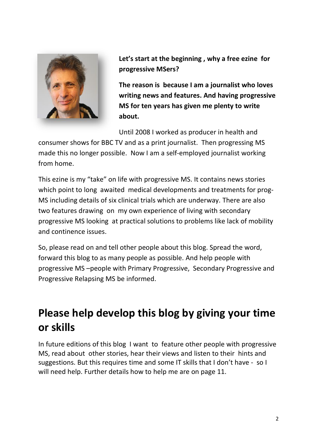

**Let's start at the beginning , why a free ezine for progressive MSers?**

**The reason is because I am a journalist who loves writing news and features. And having progressive MS for ten years has given me plenty to write about.**

Until 2008 I worked as producer in health and

consumer shows for BBC TV and as a print journalist. Then progressing MS made this no longer possible. Now I am a self-employed journalist working from home.

This ezine is my "take" on life with progressive MS. It contains news stories which point to long awaited medical developments and treatments for prog-MS including details of six clinical trials which are underway. There are also two features drawing on my own experience of living with secondary progressive MS looking at practical solutions to problems like lack of mobility and continence issues.

So, please read on and tell other people about this blog. Spread the word, forward this blog to as many people as possible. And help people with progressive MS –people with Primary Progressive, Secondary Progressive and Progressive Relapsing MS be informed.

## **Please help develop this blog by giving your time or skills**

In future editions of this blog I want to feature other people with progressive MS, read about other stories, hear their views and listen to their hints and suggestions. But this requires time and some IT skills that I don't have - so I will need help. Further details how to help me are on page 11.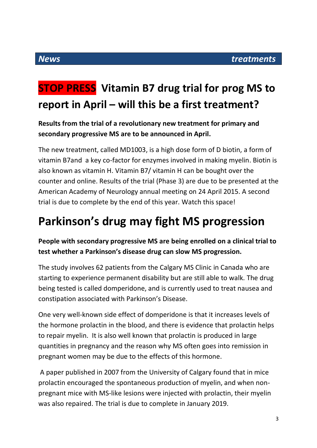## **STOP PRESS Vitamin B7 drug trial for prog MS to report in April – will this be a first treatment?**

#### **Results from the trial of a revolutionary new treatment for primary and secondary progressive MS are to be announced in April.**

The new treatment, called MD1003, is a high dose form of D biotin, a form of vitamin B7and a key co-factor for enzymes involved in making myelin. Biotin is also known as vitamin H. Vitamin B7/ vitamin H can be bought over the counter and online. Results of the trial (Phase 3) are due to be presented at the American Academy of Neurology annual meeting on 24 April 2015. A second trial is due to complete by the end of this year. Watch this space!

## **Parkinson's drug may fight MS progression**

#### **People with secondary progressive MS are being enrolled on a clinical trial to test whether a Parkinson's disease drug can slow MS progression.**

The study involves 62 patients from the Calgary MS Clinic in Canada who are starting to experience permanent disability but are still able to walk. The drug being tested is called domperidone, and is currently used to treat nausea and constipation associated with Parkinson's Disease.

One very well-known side effect of domperidone is that it increases levels of the hormone prolactin in the blood, and there is evidence that prolactin helps to repair myelin. It is also well known that prolactin is produced in large quantities in pregnancy and the reason why MS often goes into remission in pregnant women may be due to the effects of this hormone.

A paper published in 2007 from the University of Calgary found that in mice prolactin encouraged the spontaneous production of myelin, and when nonpregnant mice with MS-like lesions were injected with prolactin, their myelin was also repaired. The trial is due to complete in January 2019.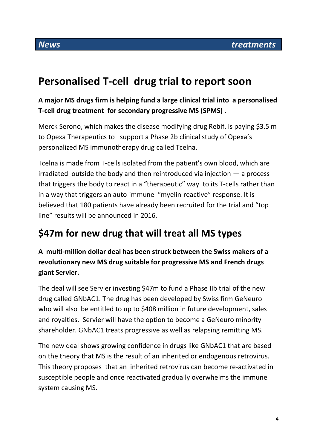## **Personalised T-cell drug trial to report soon**

**A major MS drugs firm is helping fund a large clinical trial into a personalised T-cell drug treatment for secondary progressive MS (SPMS)** .

Merck Serono, which makes the disease modifying drug Rebif, is paying \$3.5 m to Opexa Therapeutics to support a Phase 2b clinical study of Opexa's personalized MS immunotherapy drug called Tcelna.

Tcelna is made from T-cells isolated from the patient's own blood, which are irradiated outside the body and then reintroduced via injection — a process that triggers the body to react in a "therapeutic" way to its T-cells rather than in a way that triggers an auto-immune "myelin-reactive" response. It is believed that 180 patients have already been recruited for the trial and "top line" results will be announced in 2016.

## **\$47m for new drug that will treat all MS types**

**A multi-million dollar deal has been struck between the Swiss makers of a revolutionary new MS drug suitable for progressive MS and French drugs giant Servier.**

The deal will see Servier investing \$47m to fund a Phase IIb trial of the new drug called GNbAC1. The drug has been developed by Swiss firm GeNeuro who will also be entitled to up to \$408 million in future development, sales and royalties. Servier will have the option to become a GeNeuro minority shareholder. GNbAC1 treats progressive as well as relapsing remitting MS.

The new deal shows growing confidence in drugs like GNbAC1 that are based on the theory that MS is the result of an inherited or endogenous retrovirus. This theory proposes that an inherited retrovirus can become re-activated in susceptible people and once reactivated gradually overwhelms the immune system causing MS.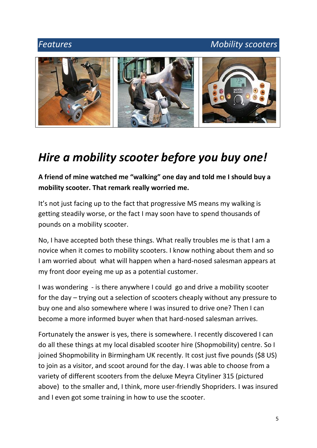#### *Features Mobility scooters*



## *Hire a mobility scooter before you buy one!*

**A friend of mine watched me "walking" one day and told me I should buy a mobility scooter. That remark really worried me.** 

It's not just facing up to the fact that progressive MS means my walking is getting steadily worse, or the fact I may soon have to spend thousands of pounds on a mobility scooter.

No, I have accepted both these things. What really troubles me is that I am a novice when it comes to mobility scooters. I know nothing about them and so I am worried about what will happen when a hard-nosed salesman appears at my front door eyeing me up as a potential customer.

I was wondering - is there anywhere I could go and drive a mobility scooter for the day – trying out a selection of scooters cheaply without any pressure to buy one and also somewhere where I was insured to drive one? Then I can become a more informed buyer when that hard-nosed salesman arrives.

Fortunately the answer is yes, there is somewhere. I recently discovered I can do all these things at my local disabled scooter hire (Shopmobility) centre. So I joined Shopmobility in Birmingham UK recently. It cost just five pounds (\$8 US) to join as a visitor, and scoot around for the day. I was able to choose from a variety of different scooters from the deluxe Meyra Cityliner 315 (pictured above) to the smaller and, I think, more user-friendly Shopriders. I was insured and I even got some training in how to use the scooter.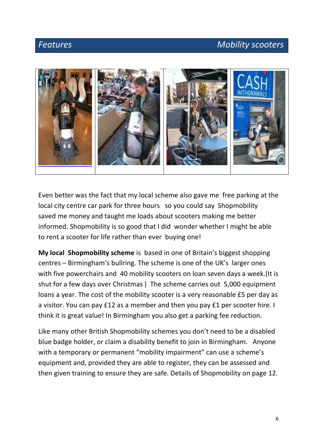#### *Features Mobility scooters*



Even better was the fact that my local scheme also gave me free parking at the local city centre car park for three hours so you could say Shopmobility saved me money and taught me loads about scooters making me better informed. Shopmobility is so good that I did wonder whether I might be able to rent a scooter for life rather than ever buying one!

**My local Shopmobility scheme** is based in one of Britain's biggest shopping centres – Birmingham's bullring. The scheme is one of the UK's larger ones with five powerchairs and 40 mobility scooters on loan seven days a week.(It is shut for a few days over Christmas ) The scheme carries out 5,000 equipment loans a year. The cost of the mobility scooter is a very reasonable £5 per day as a visitor. You can pay £12 as a member and then you pay £1 per scooter hire. I think it is great value! In Birmingham you also get a parking fee reduction.

Like many other British Shopmobility schemes you don't need to be a disabled blue badge holder, or claim a disability benefit to join in Birmingham. Anyone with a temporary or permanent "mobility impairment" can use a scheme's equipment and, provided they are able to register, they can be assessed and then given training to ensure they are safe. Details of Shopmobility on page 12.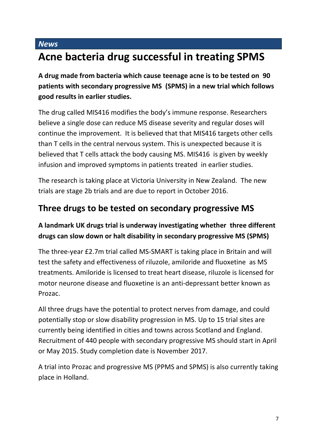#### *News*

## **Acne bacteria drug successful in treating SPMS**

**A drug made from bacteria which cause teenage acne is to be tested on 90 patients with secondary progressive MS (SPMS) in a new trial which follows good results in earlier studies.**

The drug called MIS416 modifies the body's immune response. Researchers believe a single dose can reduce MS disease severity and regular doses will continue the improvement. It is believed that that MIS416 targets other cells than T cells in the central nervous system. This is unexpected because it is believed that T cells attack the body causing MS. MIS416 is given by weekly infusion and improved symptoms in patients treated in earlier studies.

The research is taking place at Victoria University in New Zealand. The new trials are stage 2b trials and are due to report in October 2016.

### **Three drugs to be tested on secondary progressive MS**

#### **A landmark UK drugs trial is underway investigating whether three different drugs can slow down or halt disability in secondary progressive MS (SPMS)**

The three-year £2.7m trial called MS-SMART is taking place in Britain and will test the safety and effectiveness of riluzole, amiloride and fluoxetine as MS treatments. Amiloride is licensed to treat heart disease, riluzole is licensed for motor neurone disease and fluoxetine is an anti-depressant better known as Prozac.

All three drugs have the potential to protect nerves from damage, and could potentially stop or slow disability progression in MS. Up to 15 trial sites are currently being identified in cities and towns across Scotland and England. Recruitment of 440 people with secondary progressive MS should start in April or May 2015. Study completion date is November 2017.

A trial into Prozac and progressive MS (PPMS and SPMS) is also currently taking place in Holland.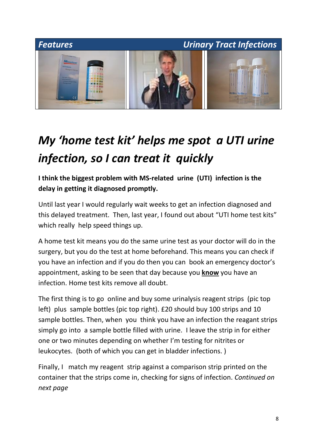

## *My 'home test kit' helps me spot a UTI urine infection, so I can treat it quickly*

**I think the biggest problem with MS-related urine (UTI) infection is the delay in getting it diagnosed promptly.** 

Until last year I would regularly wait weeks to get an infection diagnosed and this delayed treatment. Then, last year, I found out about "UTI home test kits" which really help speed things up.

A home test kit means you do the same urine test as your doctor will do in the surgery, but you do the test at home beforehand. This means you can check if you have an infection and if you do then you can book an emergency doctor's appointment, asking to be seen that day because you **know** you have an infection. Home test kits remove all doubt.

The first thing is to go online and buy some urinalysis reagent strips (pic top left) plus sample bottles (pic top right). £20 should buy 100 strips and 10 sample bottles. Then, when you think you have an infection the reagant strips simply go into a sample bottle filled with urine. I leave the strip in for either one or two minutes depending on whether I'm testing for nitrites or leukocytes. (both of which you can get in bladder infections. )

Finally, I match my reagent strip against a comparison strip printed on the container that the strips come in, checking for signs of infection. *Continued on next page*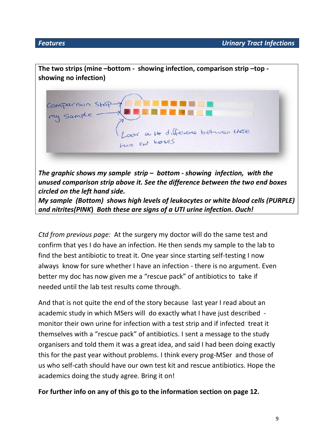

*Ctd from previous page:* At the surgery my doctor will do the same test and confirm that yes I do have an infection. He then sends my sample to the lab to find the best antibiotic to treat it. One year since starting self-testing I now always know for sure whether I have an infection - there is no argument. Even better my doc has now given me a "rescue pack" of antibiotics to take if needed until the lab test results come through.

And that is not quite the end of the story because last year I read about an academic study in which MSers will do exactly what I have just described monitor their own urine for infection with a test strip and if infected treat it themselves with a "rescue pack" of antibiotics. I sent a message to the study organisers and told them it was a great idea, and said I had been doing exactly this for the past year without problems. I think every prog-MSer and those of us who self-cath should have our own test kit and rescue antibiotics. Hope the academics doing the study agree. Bring it on!

**For further info on any of this go to the information section on page 12.**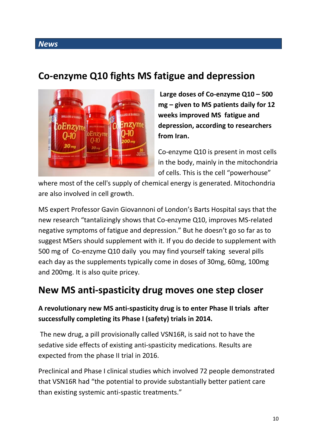#### *News*

### **Co-enzyme Q10 fights MS fatigue and depression**



**Large doses of Co-enzyme Q10 – 500 mg – given to MS patients daily for 12 weeks improved MS fatigue and depression, according to researchers from Iran.**

Co-enzyme Q10 is present in most cells in the body, mainly in the mitochondria of cells. This is the cell "powerhouse"

where most of the cell's supply of chemical energy is generated. Mitochondria are also involved in cell growth.

MS expert Professor Gavin Giovannoni of London's Barts Hospital says that the new research "tantalizingly shows that Co-enzyme Q10, improves MS-related negative symptoms of fatigue and depression." But he doesn't go so far as to suggest MSers should supplement with it. If you do decide to supplement with 500 mg of Co-enzyme Q10 daily you may find yourself taking several pills each day as the supplements typically come in doses of 30mg, 60mg, 100mg and 200mg. It is also quite pricey.

### **New MS anti-spasticity drug moves one step closer**

#### **A revolutionary new MS anti-spasticity drug is to enter Phase II trials after successfully completing its Phase I (safety) trials in 2014.**

The new drug, a pill provisionally called VSN16R, is said not to have the sedative side effects of existing anti-spasticity medications. Results are expected from the phase II trial in 2016.

Preclinical and Phase I clinical studies which involved 72 people demonstrated that VSN16R had "the potential to provide substantially better patient care than existing systemic anti-spastic treatments."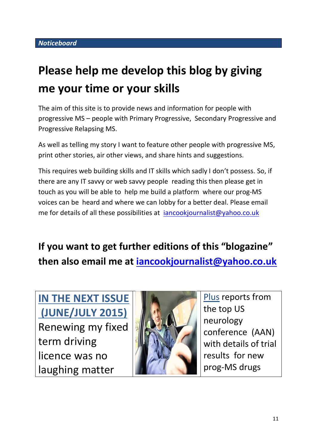## **Please help me develop this blog by giving me your time or your skills**

The aim of this site is to provide news and information for people with progressive MS – people with Primary Progressive, Secondary Progressive and Progressive Relapsing MS.

As well as telling my story I want to feature other people with progressive MS, print other stories, air other views, and share hints and suggestions.

This requires web building skills and IT skills which sadly I don't possess. So, if there are any IT savvy or web savvy people reading this then please get in touch as you will be able to help me build a platform where our prog-MS voices can be heard and where we can lobby for a better deal. Please email me for details of all these possibilities at *[iancookjournalist@yahoo.co.uk](mailto:iancookjournalist@yahoo.co.uk)* 

**If you want to get further editions of this "blogazine" then also email me at [iancookjournalist@yahoo.co.uk](mailto:iancookjournalist@yahoo.co.uk)**

**IN THE NEXT ISSUE (JUNE/JULY 2015)** Renewing my fixed term driving licence was no laughing matter



Plus reports from the top US neurology conference (AAN) with details of trial results for new prog-MS drugs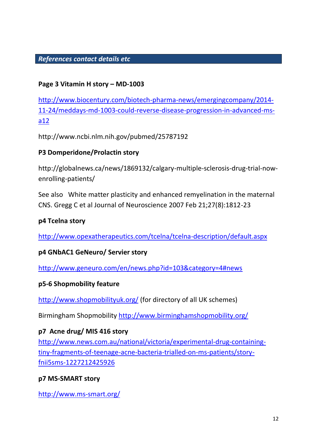#### *References contact details etc*

#### **Page 3 Vitamin H story – MD-1003**

[http://www.biocentury.com/biotech-pharma-news/emergingcompany/2014-](http://www.biocentury.com/biotech-pharma-news/emergingcompany/2014-11-24/meddays-md-1003-could-reverse-disease-progression-in-advanced-ms-a12) [11-24/meddays-md-1003-could-reverse-disease-progression-in-advanced-ms](http://www.biocentury.com/biotech-pharma-news/emergingcompany/2014-11-24/meddays-md-1003-could-reverse-disease-progression-in-advanced-ms-a12)[a12](http://www.biocentury.com/biotech-pharma-news/emergingcompany/2014-11-24/meddays-md-1003-could-reverse-disease-progression-in-advanced-ms-a12)

http://www.ncbi.nlm.nih.gov/pubmed/25787192

#### **P3 Domperidone/Prolactin story**

http://globalnews.ca/news/1869132/calgary-multiple-sclerosis-drug-trial-nowenrolling-patients/

See also White matter plasticity and enhanced remyelination in the maternal CNS. Gregg C et al Journal of Neuroscience 2007 Feb 21;27(8):1812-23

#### **p4 Tcelna story**

<http://www.opexatherapeutics.com/tcelna/tcelna-description/default.aspx>

#### **p4 GNbAC1 GeNeuro/ Servier story**

<http://www.geneuro.com/en/news.php?id=103&category=4#news>

#### **p5-6 Shopmobility feature**

<http://www.shopmobilityuk.org/> (for directory of all UK schemes)

Birmingham Shopmobility <http://www.birminghamshopmobility.org/>

#### **p7 Acne drug/ MIS 416 story**

[http://www.news.com.au/national/victoria/experimental-drug-containing](http://www.news.com.au/national/victoria/experimental-drug-containing-tiny-fragments-of-teenage-acne-bacteria-trialled-on-ms-patients/story-fnii5sms-1227212425926)[tiny-fragments-of-teenage-acne-bacteria-trialled-on-ms-patients/story](http://www.news.com.au/national/victoria/experimental-drug-containing-tiny-fragments-of-teenage-acne-bacteria-trialled-on-ms-patients/story-fnii5sms-1227212425926)[fnii5sms-1227212425926](http://www.news.com.au/national/victoria/experimental-drug-containing-tiny-fragments-of-teenage-acne-bacteria-trialled-on-ms-patients/story-fnii5sms-1227212425926)

#### **p7 MS-SMART story**

<http://www.ms-smart.org/>